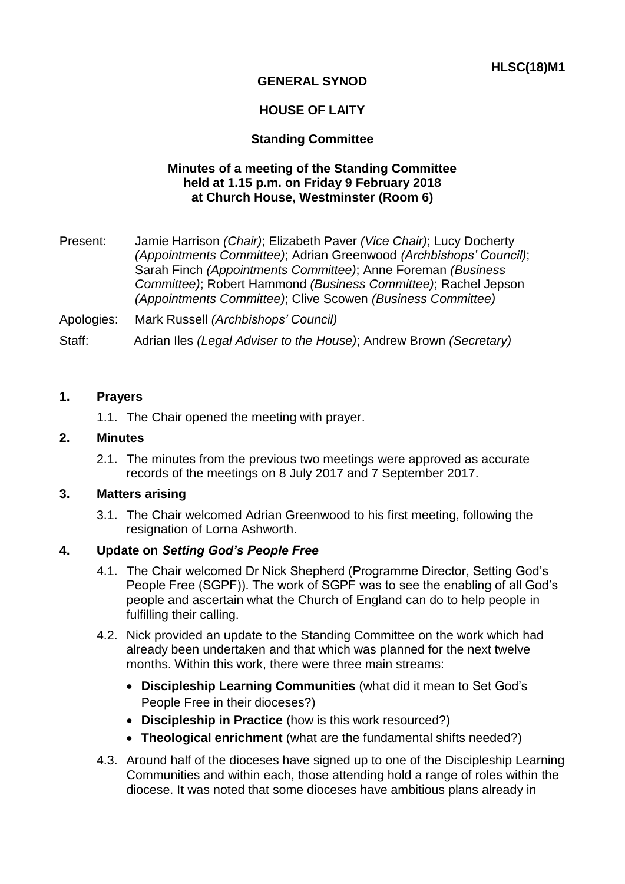# **GENERAL SYNOD**

## **HOUSE OF LAITY**

## **Standing Committee**

### **Minutes of a meeting of the Standing Committee held at 1.15 p.m. on Friday 9 February 2018 at Church House, Westminster (Room 6)**

Present: Jamie Harrison *(Chair)*; Elizabeth Paver *(Vice Chair)*; Lucy Docherty *(Appointments Committee)*; Adrian Greenwood *(Archbishops' Council)*; Sarah Finch *(Appointments Committee)*; Anne Foreman *(Business Committee)*; Robert Hammond *(Business Committee)*; Rachel Jepson *(Appointments Committee)*; Clive Scowen *(Business Committee)*

Apologies: Mark Russell *(Archbishops' Council)*

Staff: Adrian Iles *(Legal Adviser to the House)*; Andrew Brown *(Secretary)*

#### **1. Prayers**

1.1. The Chair opened the meeting with prayer.

#### **2. Minutes**

2.1. The minutes from the previous two meetings were approved as accurate records of the meetings on 8 July 2017 and 7 September 2017.

#### **3. Matters arising**

3.1. The Chair welcomed Adrian Greenwood to his first meeting, following the resignation of Lorna Ashworth.

#### **4. Update on** *Setting God's People Free*

- 4.1. The Chair welcomed Dr Nick Shepherd (Programme Director, Setting God's People Free (SGPF)). The work of SGPF was to see the enabling of all God's people and ascertain what the Church of England can do to help people in fulfilling their calling.
- 4.2. Nick provided an update to the Standing Committee on the work which had already been undertaken and that which was planned for the next twelve months. Within this work, there were three main streams:
	- **Discipleship Learning Communities** (what did it mean to Set God's People Free in their dioceses?)
	- **Discipleship in Practice** (how is this work resourced?)
	- **Theological enrichment** (what are the fundamental shifts needed?)
- 4.3. Around half of the dioceses have signed up to one of the Discipleship Learning Communities and within each, those attending hold a range of roles within the diocese. It was noted that some dioceses have ambitious plans already in